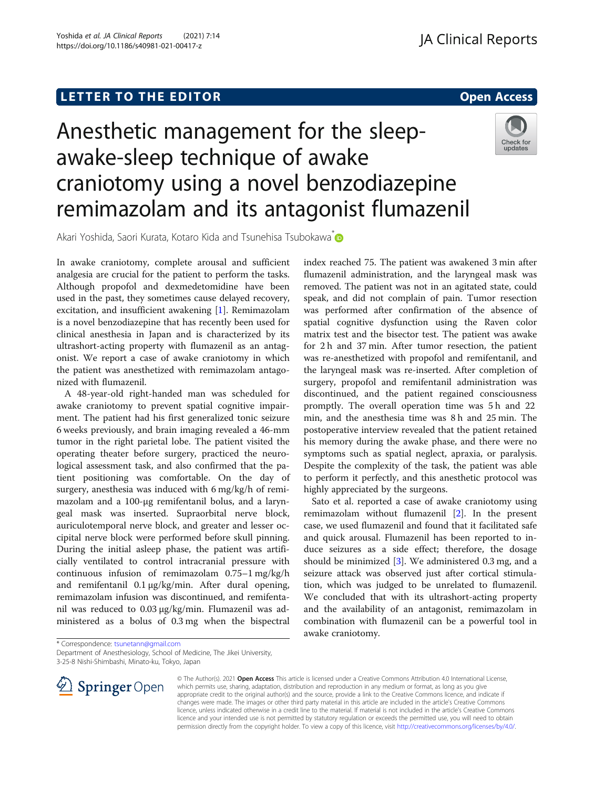# Anesthetic management for the sleepawake-sleep technique of awake craniotomy using a novel benzodiazepine remimazolam and its antagonist flumazenil



Akari Yoshida, Saori Kurata, Kotaro Kida and Tsunehisa Tsubokawa<sup>\*</sup>

In awake craniotomy, complete arousal and sufficient analgesia are crucial for the patient to perform the tasks. Although propofol and dexmedetomidine have been used in the past, they sometimes cause delayed recovery, excitation, and insufficient awakening [[1\]](#page-1-0). Remimazolam is a novel benzodiazepine that has recently been used for clinical anesthesia in Japan and is characterized by its ultrashort-acting property with flumazenil as an antagonist. We report a case of awake craniotomy in which the patient was anesthetized with remimazolam antagonized with flumazenil.

A 48-year-old right-handed man was scheduled for awake craniotomy to prevent spatial cognitive impairment. The patient had his first generalized tonic seizure 6 weeks previously, and brain imaging revealed a 46-mm tumor in the right parietal lobe. The patient visited the operating theater before surgery, practiced the neurological assessment task, and also confirmed that the patient positioning was comfortable. On the day of surgery, anesthesia was induced with 6 mg/kg/h of remimazolam and a 100-μg remifentanil bolus, and a laryngeal mask was inserted. Supraorbital nerve block, auriculotemporal nerve block, and greater and lesser occipital nerve block were performed before skull pinning. During the initial asleep phase, the patient was artificially ventilated to control intracranial pressure with continuous infusion of remimazolam 0.75–1 mg/kg/h and remifentanil 0.1 μg/kg/min. After dural opening, remimazolam infusion was discontinued, and remifentanil was reduced to 0.03 μg/kg/min. Flumazenil was administered as a bolus of 0.3 mg when the bispectral

index reached 75. The patient was awakened 3 min after flumazenil administration, and the laryngeal mask was removed. The patient was not in an agitated state, could speak, and did not complain of pain. Tumor resection was performed after confirmation of the absence of spatial cognitive dysfunction using the Raven color matrix test and the bisector test. The patient was awake for 2 h and 37 min. After tumor resection, the patient was re-anesthetized with propofol and remifentanil, and the laryngeal mask was re-inserted. After completion of surgery, propofol and remifentanil administration was discontinued, and the patient regained consciousness promptly. The overall operation time was 5 h and 22 min, and the anesthesia time was 8 h and 25 min. The postoperative interview revealed that the patient retained his memory during the awake phase, and there were no symptoms such as spatial neglect, apraxia, or paralysis. Despite the complexity of the task, the patient was able to perform it perfectly, and this anesthetic protocol was highly appreciated by the surgeons.

Sato et al. reported a case of awake craniotomy using remimazolam without flumazenil [\[2](#page-1-0)]. In the present case, we used flumazenil and found that it facilitated safe and quick arousal. Flumazenil has been reported to induce seizures as a side effect; therefore, the dosage should be minimized  $[3]$  $[3]$ . We administered 0.3 mg, and a seizure attack was observed just after cortical stimulation, which was judged to be unrelated to flumazenil. We concluded that with its ultrashort-acting property and the availability of an antagonist, remimazolam in combination with flumazenil can be a powerful tool in awake craniotomy.

Department of Anesthesiology, School of Medicine, The Jikei University,

3-25-8 Nishi-Shimbashi, Minato-ku, Tokyo, Japan



© The Author(s). 2021 Open Access This article is licensed under a Creative Commons Attribution 4.0 International License, which permits use, sharing, adaptation, distribution and reproduction in any medium or format, as long as you give appropriate credit to the original author(s) and the source, provide a link to the Creative Commons licence, and indicate if changes were made. The images or other third party material in this article are included in the article's Creative Commons licence, unless indicated otherwise in a credit line to the material. If material is not included in the article's Creative Commons licence and your intended use is not permitted by statutory regulation or exceeds the permitted use, you will need to obtain permission directly from the copyright holder. To view a copy of this licence, visit <http://creativecommons.org/licenses/by/4.0/>.

<sup>\*</sup> Correspondence: [tsunetann@gmail.com](mailto:tsunetann@gmail.com)